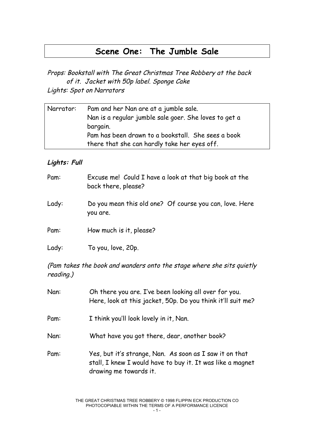# **Scene One: The Jumble Sale**

Props: Bookstall with The Great Christmas Tree Robbery at the back of it. Jacket with 50p label. Sponge Cake Lights: Spot on Narrators

| Narrator: | Pam and her Nan are at a jumble sale.                 |
|-----------|-------------------------------------------------------|
|           | Nan is a regular jumble sale goer. She loves to get a |
|           | bargain.                                              |
|           | Pam has been drawn to a bookstall. She sees a book    |
|           | there that she can hardly take her eyes off.          |

#### **Lights: Full**

| Pam:  | Excuse me! Could I have a look at that big book at the<br>back there, please? |
|-------|-------------------------------------------------------------------------------|
| Lady: | Do you mean this old one? Of course you can, love. Here<br>you are.           |
| Pam:  | How much is it, please?                                                       |
| Lady: | To you, love, 20p.                                                            |

(Pam takes the book and wanders onto the stage where she sits quietly reading.)

| Nan: | Oh there you are. I've been looking all over for you.<br>Here, look at this jacket, 50p. Do you think it'll suit me?                            |
|------|-------------------------------------------------------------------------------------------------------------------------------------------------|
| Pam: | I think you'll look lovely in it, Nan.                                                                                                          |
| Nan: | What have you got there, dear, another book?                                                                                                    |
| Pam: | Yes, but it's strange, Nan. As soon as I saw it on that<br>stall, I knew I would have to buy it. It was like a magnet<br>drawing me towards it. |

THE GREAT CHRISTMAS TREE ROBBERY © 1998 FLIPPIN ECK PRODUCTION CO PHOTOCOPIABLE WITHIN THE TERMS OF A PERFORMANCE LICENCE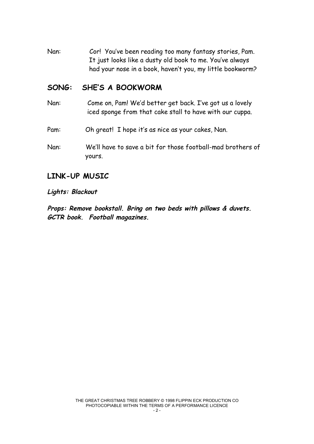Nan: Cor! You've been reading too many fantasy stories, Pam. It just looks like a dusty old book to me. You've always had your nose in a book, haven't you, my little bookworm?

### **SONG: SHE'S A BOOKWORM**

- Nan: Come on, Pam! We'd better get back. I've got us a lovely iced sponge from that cake stall to have with our cuppa.
- Pam: Oh great! I hope it's as nice as your cakes, Nan.
- Nan: We'll have to save a bit for those football-mad brothers of yours.

#### **LINK-UP MUSIC**

#### **Lights: Blackout**

**Props: Remove bookstall. Bring on two beds with pillows & duvets. GCTR book. Football magazines.**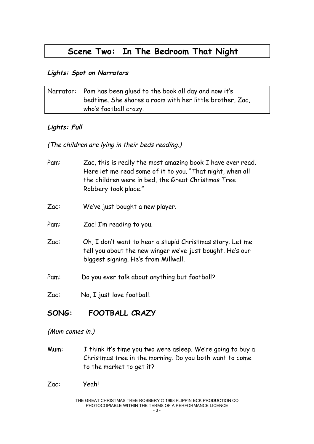# **Scene Two: In The Bedroom That Night**

#### **Lights: Spot on Narrators**

| Narrator: Pam has been glued to the book all day and now it's |
|---------------------------------------------------------------|
| bedtime. She shares a room with her little brother, Zac,      |
| who's football crazy.                                         |

#### **Lights: Full**

(The children are lying in their beds reading.)

- Pam: Zac, this is really the most amazing book I have ever read. Here let me read some of it to you. "That night, when all the children were in bed, the Great Christmas Tree Robbery took place."
- Zac: We've just bought a new player.
- Pam: Zac! I'm reading to you.
- Zac: Oh, I don't want to hear a stupid Christmas story. Let me tell you about the new winger we've just bought. He's our biggest signing. He's from Millwall.

Pam: Do you ever talk about anything but football?

Zac: No, I just love football.

# **SONG: FOOTBALL CRAZY**

(Mum comes in.)

Mum: I think it's time you two were asleep. We're going to buy a Christmas tree in the morning. Do you both want to come to the market to get it?

Zac: Yeah!

THE GREAT CHRISTMAS TREE ROBBERY © 1998 FLIPPIN ECK PRODUCTION CO PHOTOCOPIABLE WITHIN THE TERMS OF A PERFORMANCE LICENCE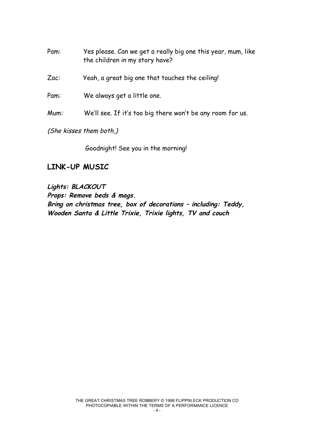Pam: Yes please. Can we get a really big one this year, mum, like the children in my story have?

Zac: Yeah, a great big one that touches the ceiling!

Pam: We always get a little one.

Mum: We'll see. If it's too big there won't be any room for us.

(She kisses them both,)

Goodnight! See you in the morning!

#### **LINK-UP MUSIC**

**Lights: BLACKOUT Props: Remove beds & mags. Bring on christmas tree, box of decorations – including: Teddy, Wooden Santa & Little Trixie, Trixie lights, TV and couch**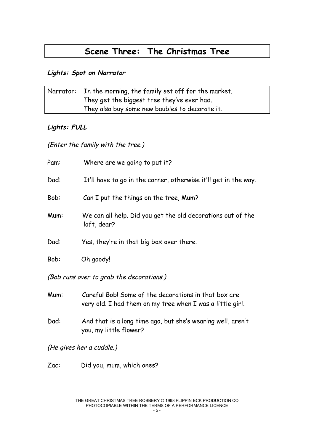# **Scene Three: The Christmas Tree**

#### **Lights: Spot on Narrator**

| Narrator: | In the morning, the family set off for the market. |
|-----------|----------------------------------------------------|
|           | They get the biggest tree they've ever had.        |
|           | They also buy some new baubles to decorate it.     |

#### **Lights: FULL**

(Enter the family with the tree.)

| Pam:                                     | Where are we going to put it?                                                                                     |  |
|------------------------------------------|-------------------------------------------------------------------------------------------------------------------|--|
| Dad:                                     | It'll have to go in the corner, otherwise it'll get in the way.                                                   |  |
| Bob:                                     | Can I put the things on the tree, Mum?                                                                            |  |
| Mum:                                     | We can all help. Did you get the old decorations out of the<br>loft, dear?                                        |  |
| Dad:                                     | Yes, they're in that big box over there.                                                                          |  |
| Bob:                                     | Oh goody!                                                                                                         |  |
| (Bob runs over to grab the decorations.) |                                                                                                                   |  |
| Mum:                                     | Careful Bob! Some of the decorations in that box are<br>very old. I had them on my tree when I was a little girl. |  |

Dad: And that is a long time ago, but she's wearing well, aren't you, my little flower?

(He gives her a cuddle.)

Zac: Did you, mum, which ones?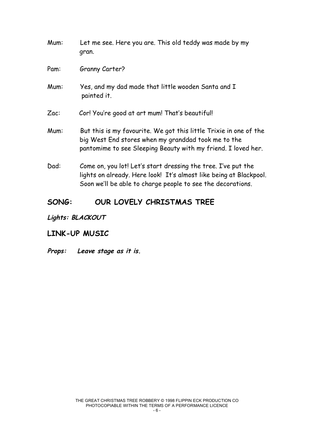| Mum: | Let me see. Here you are. This old teddy was made by my<br>gran.                                                                                                                                   |
|------|----------------------------------------------------------------------------------------------------------------------------------------------------------------------------------------------------|
| Pam: | Granny Carter?                                                                                                                                                                                     |
| Mum: | Yes, and my dad made that little wooden Santa and I<br>painted it.                                                                                                                                 |
| Zac  | Cor! You're good at art mum! That's beautiful!                                                                                                                                                     |
| Mum: | But this is my favourite. We got this little Trixie in one of the<br>big West End stores when my granddad took me to the<br>pantomime to see Sleeping Beauty with my friend. I loved her.          |
| Dad: | Come on, you lot! Let's start dressing the tree. I've put the<br>lights on already. Here look! It's almost like being at Blackpool.<br>Soon we'll be able to charge people to see the decorations. |

# **SONG: OUR LOVELY CHRISTMAS TREE**

# **Lights: BLACKOUT**

#### **LINK-UP MUSIC**

#### **Props: Leave stage as it is.**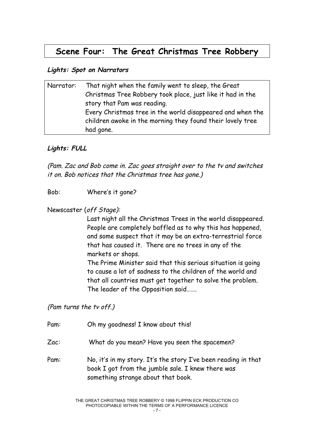# **Scene Four: The Great Christmas Tree Robbery**

#### **Lights: Spot on Narrators**

| Narrator: | That night when the family went to sleep, the Great        |
|-----------|------------------------------------------------------------|
|           | Christmas Tree Robbery took place, just like it had in the |
|           | story that Pam was reading.                                |
|           | Every Christmas tree in the world disappeared and when the |
|           | children awoke in the morning they found their lovely tree |
|           | had gone.                                                  |

#### **Lights: FULL**

(Pam. Zac and Bob come in. Zac goes straight over to the tv and switches it on. Bob notices that the Christmas tree has gone.)

Bob: Where's it gone?

#### Newscaster (off Stage):

Last night all the Christmas Trees in the world disappeared. People are completely baffled as to why this has happened, and some suspect that it may be an extra-terrestrial force that has caused it. There are no trees in any of the markets or shops.

The Prime Minister said that this serious situation is going to cause a lot of sadness to the children of the world and that all countries must get together to solve the problem. The leader of the Opposition said…….

(Pam turns the tv off.)

Pam: Oh my goodness! I know about this!

Zac: What do you mean? Have you seen the spacemen?

Pam: No, it's in my story. It's the story I've been reading in that book I got from the jumble sale. I knew there was something strange about that book.

> THE GREAT CHRISTMAS TREE ROBBERY © 1998 FLIPPIN ECK PRODUCTION CO PHOTOCOPIABLE WITHIN THE TERMS OF A PERFORMANCE LICENCE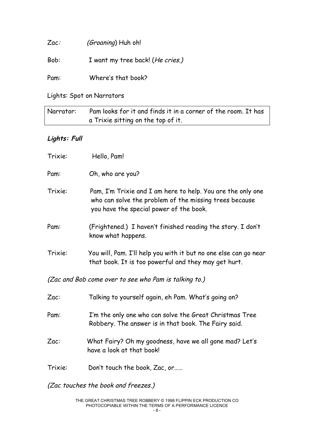| Zac: | (Groaning) Huh oh!               |
|------|----------------------------------|
| Bob: | I want my tree back! (He cries.) |
| Pam: | Where's that book?               |

Lights: Spot on Narrators

| Narrator: | Pam looks for it and finds it in a corner of the room. It has |
|-----------|---------------------------------------------------------------|
|           | a Trixie sitting on the top of it.                            |

### **Lights: Full**

| Trixie: | Hello, Pam!                                                                                                                                                      |
|---------|------------------------------------------------------------------------------------------------------------------------------------------------------------------|
| Pam:    | Oh, who are you?                                                                                                                                                 |
| Trixie: | Pam, I'm Trixie and I am here to help. You are the only one<br>who can solve the problem of the missing trees because<br>you have the special power of the book. |
| Pam:    | (Frightened.) I haven't finished reading the story. I don't<br>know what happens.                                                                                |
| Trixie: | You will, Pam. I'll help you with it but no one else can go near<br>that book. It is too powerful and they may get hurt.                                         |
|         | (Zac and Bob come over to see who Pam is talking to.)                                                                                                            |
| Zac:    | Talking to yourself again, eh Pam. What's going on?                                                                                                              |
| Pam:    | I'm the only one who can solve the Great Christmas Tree<br>Robbery. The answer is in that book. The Fairy said.                                                  |
| Zac:    | What Fairy? Oh my goodness, have we all gone mad? Let's<br>have a look at that book!                                                                             |
| Trixie: | Don't touch the book, Zac, or                                                                                                                                    |

(Zac touches the book and freezes.)

THE GREAT CHRISTMAS TREE ROBBERY © 1998 FLIPPIN ECK PRODUCTION CO PHOTOCOPIABLE WITHIN THE TERMS OF A PERFORMANCE LICENCE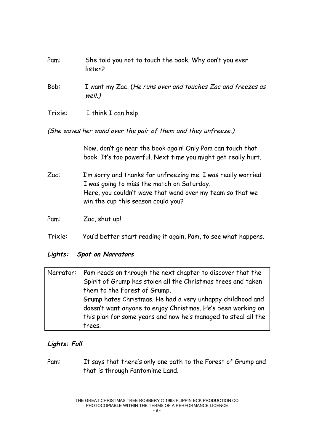| Pam:    | She told you not to touch the book. Why don't you ever<br>listen?        |
|---------|--------------------------------------------------------------------------|
| Bob:    | I want my Zac. (He runs over and touches Zac and freezes as<br>$well.$ ) |
| Trixie: | I think I can help.                                                      |

(She waves her wand over the pair of them and they unfreeze.)

Now, don't go near the book again! Only Pam can touch that book. It's too powerful. Next time you might get really hurt.

Zac: I'm sorry and thanks for unfreezing me. I was really worried I was going to miss the match on Saturday. Here, you couldn't wave that wand over my team so that we win the cup this season could you?

Pam: Zac, shut up!

Trixie: You'd better start reading it again, Pam, to see what happens.

#### **Lights: Spot on Narrators**

| Narrator: | Pam reads on through the next chapter to discover that the     |
|-----------|----------------------------------------------------------------|
|           | Spirit of Grump has stolen all the Christmas trees and taken   |
|           | them to the Forest of Grump.                                   |
|           | Grump hates Christmas. He had a very unhappy childhood and     |
|           | doesn't want anyone to enjoy Christmas. He's been working on   |
|           | this plan for some years and now he's managed to steal all the |
|           | trees.                                                         |

#### **Lights: Full**

Pam: It says that there's only one path to the Forest of Grump and that is through Pantomime Land.

> THE GREAT CHRISTMAS TREE ROBBERY © 1998 FLIPPIN ECK PRODUCTION CO PHOTOCOPIABLE WITHIN THE TERMS OF A PERFORMANCE LICENCE  $-9 -$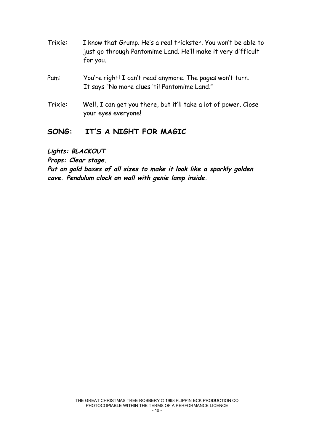- Trixie: I know that Grump. He's a real trickster. You won't be able to just go through Pantomime Land. He'll make it very difficult for you.
- Pam: You're right! I can't read anymore. The pages won't turn. It says "No more clues 'til Pantomime Land."
- Trixie: Well, I can get you there, but it'll take a lot of power. Close your eyes everyone!

# **SONG: IT'S A NIGHT FOR MAGIC**

**Lights: BLACKOUT**

**Props: Clear stage.**

**Put on gold boxes of all sizes to make it look like <sup>a</sup> sparkly golden cave. Pendulum clock on wall with genie lamp inside.**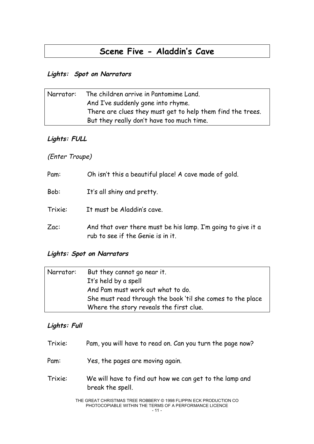# **Scene Five - Aladdin's Cave**

#### **Lights: Spot on Narrators**

| Narrator: | The children arrive in Pantomime Land.                     |
|-----------|------------------------------------------------------------|
|           | And I've suddenly gone into rhyme.                         |
|           | There are clues they must get to help them find the trees. |
|           | But they really don't have too much time.                  |

#### **Lights: FULL**

### (Enter Troupe)

| Pam:    | Oh isn't this a beautiful place! A cave made of gold.                                             |
|---------|---------------------------------------------------------------------------------------------------|
| Bob:    | It's all shiny and pretty.                                                                        |
| Trixie: | It must be Aladdin's cave.                                                                        |
| Zac     | And that over there must be his lamp. I'm going to give it a<br>rub to see if the Genie is in it. |

#### **Lights: Spot on Narrators**

| Narrator: | But they cannot go near it.                                |
|-----------|------------------------------------------------------------|
|           | It's held by a spell                                       |
|           | And Pam must work out what to do.                          |
|           | She must read through the book 'til she comes to the place |
|           | Where the story reveals the first clue.                    |

#### **Lights: Full**

| Trixie: | Pam, you will have to read on. Can you turn the page now?                   |
|---------|-----------------------------------------------------------------------------|
| Pam:    | Yes, the pages are moving again.                                            |
| Trixie: | We will have to find out how we can get to the lamp and<br>break the spell. |

THE GREAT CHRISTMAS TREE ROBBERY © 1998 FLIPPIN ECK PRODUCTION CO PHOTOCOPIABLE WITHIN THE TERMS OF A PERFORMANCE LICENCE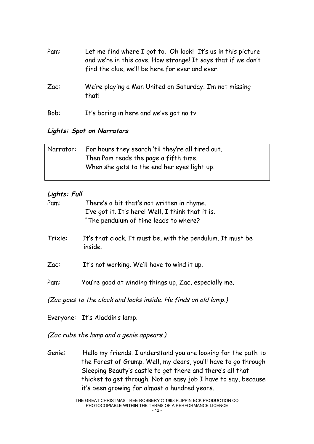| Pam: | Let me find where I got to. Oh look! It's us in this picture<br>and we're in this cave. How strange! It says that if we don't<br>find the clue, we'll be here for ever and ever. |
|------|----------------------------------------------------------------------------------------------------------------------------------------------------------------------------------|
| Zac  | We're playing a Man United on Saturday. I'm not missing<br>that!                                                                                                                 |
| Bob: | It's boring in here and we've got no tv.                                                                                                                                         |

#### **Lights: Spot on Narrators**

| Narrator: | For hours they search 'til they're all tired out. |
|-----------|---------------------------------------------------|
|           | Then Pam reads the page a fifth time.             |
|           | When she gets to the end her eyes light up.       |
|           |                                                   |

#### **Lights: Full**

| Pam:    | There's a bit that's not written in rhyme.<br>I've got it. It's here! Well, I think that it is.<br>"The pendulum of time leads to where? |
|---------|------------------------------------------------------------------------------------------------------------------------------------------|
| Trixie: | It's that clock. It must be, with the pendulum. It must be<br>inside.                                                                    |
| Zac     | It's not working. We'll have to wind it up.                                                                                              |
| Pam:    | You're good at winding things up, Zac, especially me.                                                                                    |
|         | (Zac goes to the clock and looks inside. He finds an old lamp.)                                                                          |
|         | Everyone: It's Aladdin's lamp.                                                                                                           |

(Zac rubs the lamp and <sup>a</sup> genie appears.)

Genie: Hello my friends. I understand you are looking for the path to the Forest of Grump. Well, my dears, you'll have to go through Sleeping Beauty's castle to get there and there's all that thicket to get through. Not an easy job I have to say, because it's been growing for almost a hundred years.

THE GREAT CHRISTMAS TREE ROBBERY © 1998 FLIPPIN ECK PRODUCTION CO PHOTOCOPIABLE WITHIN THE TERMS OF A PERFORMANCE LICENCE